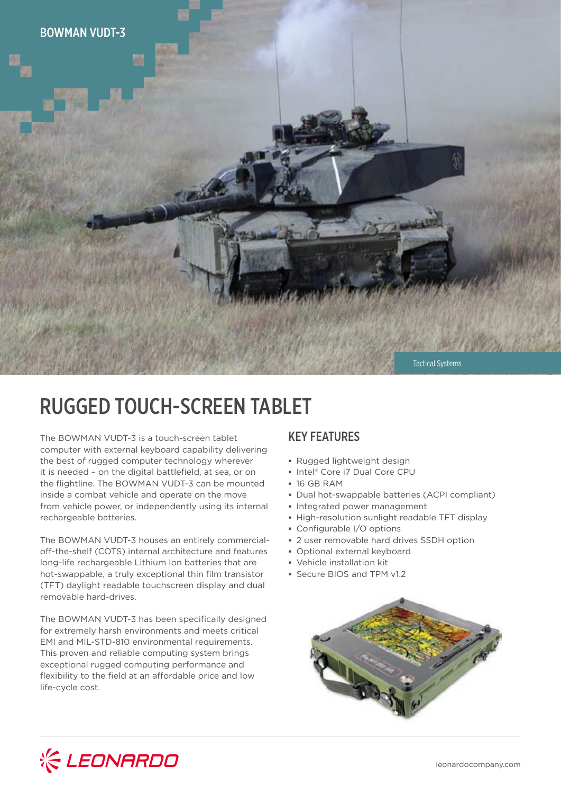

# RUGGED TOUCH-SCREEN TABLET

The BOWMAN VUDT-3 is a touch-screen tablet computer with external keyboard capability delivering the best of rugged computer technology wherever it is needed – on the digital battlefield, at sea, or on the flightline. The BOWMAN VUDT-3 can be mounted inside a combat vehicle and operate on the move from vehicle power, or independently using its internal rechargeable batteries.

The BOWMAN VUDT-3 houses an entirely commercialoff-the-shelf (COTS) internal architecture and features long-life rechargeable Lithium Ion batteries that are hot-swappable, a truly exceptional thin film transistor (TFT) daylight readable touchscreen display and dual removable hard-drives.

The BOWMAN VUDT-3 has been specifically designed for extremely harsh environments and meets critical EMI and MIL-STD-810 environmental requirements. This proven and reliable computing system brings exceptional rugged computing performance and flexibility to the field at an affordable price and low life-cycle cost.

### KEY FEATURES

- **▪** Rugged lightweight design
- **▪** Intel® Core i7 Dual Core CPU
- **▪** 16 GB RAM
- **▪** Dual hot-swappable batteries (ACPI compliant)
- **▪** Integrated power management
- **▪** High-resolution sunlight readable TFT display
- **▪** Configurable I/O options
- **▪** 2 user removable hard drives SSDH option
- **▪** Optional external keyboard
- **▪** Vehicle installation kit
- **▪** Secure BIOS and TPM v1.2